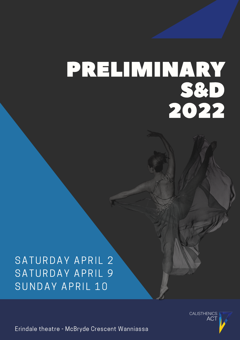# PRELIMINARY S&D 2022

## SATURDAY APRIL 2 SATURDAY APRIL 9 SUNDAY APRIL 10

**CALISTHENICS ACT** 

Erindale theatre - McBryde Crescent Wanniassa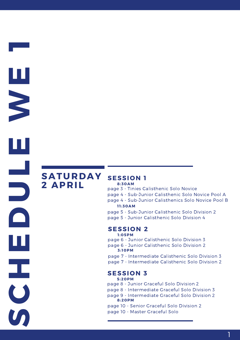**CHEDULEW**

**E**

**1**

**S** 

## **SATURDAY 2 APRIL**

#### **SESSION 1 8:30AM**

- page 3 Tinies Calisthenic Solo Novice
- page 4 Sub-Junior Calisthenic Solo Novice Pool A
- page 4 Sub-Junior Calisthenics Solo Novice Pool B **1 1 :30AM**
- page 5 Sub-Junior Calisthenic Solo Division 2
- page 5 Junior Calisthenic Solo Division 4

#### **SESSION 2**

- **1 :05PM**
- page 6 Junior Calisthenic Solo Division 3
- page 6 Junior Calisthenic Solo Division 2 **3: 10PM**
- page 7 Intermediate Calisthenic Solo Division 3
- page 7 Intermediate Calisthenic Solo Division 2

#### **SESSION 3**

#### **5:20PM**

- page 8 Junior Graceful Solo Division 2
- page 8 Intermediate Graceful Solo Division 3
- page 9 Intermediate Graceful Solo Division 2 **8:20PM**

1

- page 10 Senior Graceful Solo Division 2
- page 10 Master Graceful Solo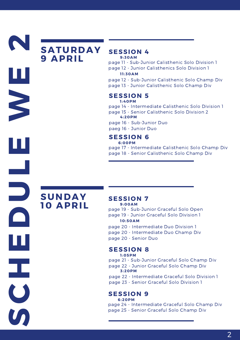## **SATURDAY 9 APRIL**

#### **SESSION 4 9:30AM**

page 11 - Sub-Junior Calisthenic Solo Division 1 page 12 - Junior Calisthenics Solo Division 1

#### **1 1 :30AM**

page 12 - Sub-Junior Calisthenic Solo Champ Div page 13 - Junior Calisthenic Solo Champ Div

#### **SESSION 5**

page 14 - Intermediate Calisthenic Solo Division 1 page 15 - Senior Calisthenic Solo Division 2 **1 :40PM**

**4:20PM**

page 16 - Sub-Junior Duo paeg 16 - Junior Duo

#### **SESSION 6**

page 17 - Intermediate Calisthenic Solo Champ Div page 18 - Senior Calisthenic Solo Champ Div **6:00PM**

## **SUNDAY 10 APRIL**

**S** 

**C**

**H**

**E**

**D**

**U**

**L**

**E**

**W**

**E**

**2**

#### **SESSION 7**

**9:00AM**

page 19 - Sub-Junior Graceful Solo Open page 19 - Junior Graceful Solo Division 1 **10:50AM**

page 20 - Intermediate Duo Division 1 page 20 - Intermediate Duo Champ Div page 20 - Senior Duo

#### **SESSION 8**

page 21 - Sub-Junior Graceful Solo Champ Div page 22 - Junior Graceful Solo Champ Div **1 :05PM** page 22 - Intermediate Graceful Solo Division 1 **3:20PM**

page 23 - Senior Graceful Solo Division 1

#### **SESSION 9 6:20PM**

page 24 - Intermediate Graceful Solo Champ Div page 25 - Senior Graceful Solo Champ Div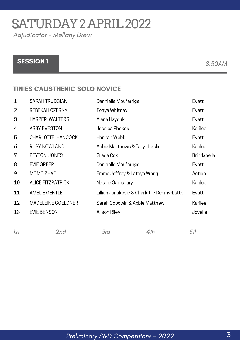## SATURDAY2APRIL2022

Adjudicator - Mellany Drew

### SESSION 1 8:30AM

#### TINIES CALISTHENIC SOLO NOVICE

| $\mathbf 1$    | <b>SARAH TRUDGIAN</b>     | Dannielle Moufarrige                        |     | Evatt       |
|----------------|---------------------------|---------------------------------------------|-----|-------------|
| $\overline{2}$ | REBEKAH CZERNY            | Tonya Whitney                               |     | Evatt       |
| 3              | <b>HARPER WALTERS</b>     | Alana Hayduk                                |     | Evatt       |
| 4              | <b>ABBY EVESTON</b>       | Jessica Phokos                              |     | Karilee     |
| 5              | CHARLOTTE HANCOCK         | Hannah Webb                                 |     | Evatt       |
| 6              | <b>RUBY NOWLAND</b>       | Abbie Matthews & Taryn Leslie               |     | Karilee     |
| 7              | PEYTON JONES              | Grace Cox                                   |     | Brindabella |
| 8              | <b>EVIE GREEP</b>         | Dannielle Moufarrige                        |     | Evatt       |
| 9              | MOMO ZHAO                 | Emma Jeffrey & Latoya Wong                  |     | Action      |
| 10             | <b>ALICE FITZPATRICK</b>  | Natalie Sainsbury                           |     | Karilee     |
| 11             | <b>AMELIE GENTLE</b>      | Lillian Junakovic & Charlotte Dennis-Latter |     | Evatt       |
| 12             | <b>MADELEINE GOELDNER</b> | Sarah Goodwin & Abbie Matthew               |     | Karilee     |
| 13             | <b>EVIE BENSON</b>        | Alison Riley                                |     | Joyelle     |
| 1st            | 2nd                       | 3rd                                         | 4th | 5th         |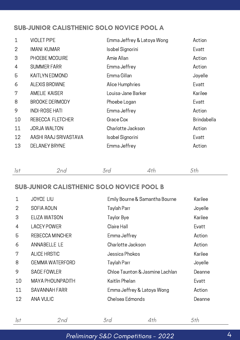#### SUB-JUNIOR CALISTHENIC SOLO NOVICE POOL A

| 1              | <b>VIOLET PIPE</b>    | Emma Jeffrey & Latoya Wong | Action             |
|----------------|-----------------------|----------------------------|--------------------|
| $\overline{2}$ | <b>IMANI KUMAR</b>    | Isobel Signorini           | Evatt              |
| 3              | PHOEBE MCGUIRE        | Amie Allan                 | Action             |
| 4              | <b>SUMMER FARR</b>    | Emma Jeffrey               | Action             |
| 5              | <b>KAITLYN EDMOND</b> | Emma Gillan                | Joyelle            |
| 6              | ALEXIS BROWNE         | Alice Humphries            | Evatt              |
| 7              | <b>AMELIE KAISER</b>  | Louisa-Jane Barker         | Karilee            |
| 8              | <b>BROOKE DERMODY</b> | Phoebe Logan               | Evatt              |
| 9              | <b>INDI-ROSE HATI</b> | Emma Jeffrey               | Action             |
| 10             | REBECCA FLETCHER      | Grace Cox                  | <b>Brindabella</b> |
| 11             | <b>JORJA WALTON</b>   | Charlotte Jackson          | Action             |
| 12             | AASHI RAAJ SRIVASTAVA | Isobel Signorini           | Evatt              |
| 13             | <b>DELANEY BRYNE</b>  | Emma Jeffrey               | Action             |
|                |                       |                            |                    |

|--|

#### SUB-JUNIOR CALISTHENIC SOLO NOVICE POOL B

| $\mathbf{1}$   | <b>JOYCE LIU</b>        | Emily Bourne & Samantha Bourne  | Karilee |
|----------------|-------------------------|---------------------------------|---------|
| 2              | SOFIA AOUN              | Taylah Parr                     | Joyelle |
| 3              | <b>ELIZA WATSON</b>     | Taylor Bye                      | Karilee |
| $\overline{4}$ | <b>LACEY POWER</b>      | Claire Hall                     | Evatt   |
| 5              | <b>REBECCA MINCHER</b>  | Emma Jeffrey                    | Action  |
| 6              | ANNABELLE LE            | Charlotte Jackson               | Action  |
| 7              | <b>ALICE HRSTIC</b>     | Jessica Phokos                  | Karilee |
| 8              | <b>GEMMA WATERFORD</b>  | Taylah Parr                     | Joyelle |
| 9              | <b>SAGE FOWLER</b>      | Chloe Taunton & Jasmine Lachlan | Deanne  |
| 10             | <b>MAYA PHOUNPADITH</b> | Kaitlin Phelan                  | Evatt   |
| 11             | <b>SAVANNAH FARR</b>    | Emma Jeffrey & Latoya Wong      | Action  |
| 12             | <b>ANA VULIC</b>        | Chelsea Edmonds                 | Deanne  |

| Preliminary S&D Competitions - 2022 |  |
|-------------------------------------|--|

1st 2nd 3rd 4th 5th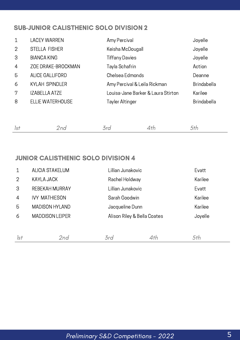#### SUB-JUNIOR CALISTHENIC SOLO DIVISION 2

| $\mathbf{1}$   | <b>LACEY WARREN</b>     | Amy Percival                       | Joyelle            |
|----------------|-------------------------|------------------------------------|--------------------|
| 2              | <b>STELLA FISHER</b>    | Keisha McDougall                   | Joyelle            |
| 3              | <b>BIANCA KING</b>      | <b>Tiffany Davies</b>              | Joyelle            |
| $\overline{4}$ | ZOE DRAKE-BROCKMAN      | Tayla Schafrin                     | Action             |
| 5              | ALICE GALLIFORD         | Chelsea Edmonds                    | Deanne             |
| 6              | <b>KYLAH SPINDLER</b>   | Amy Percival & Leila Rickman       | Brindabella        |
| 7              | <b>IZABELLA ATZE</b>    | Louisa-Jane Barker & Laura Stirton | Karilee            |
| 8              | <b>ELLIE WATERHOUSE</b> | <b>Tayler Altinger</b>             | <b>Brindabella</b> |

| the contract of the contract of the contract of | and the contract of the con- |  |
|-------------------------------------------------|------------------------------|--|
|                                                 |                              |  |

#### JUNIOR CALISTHENIC SOLO DIVISION 4

| $\mathbf 1$    | <b>ALICIA STAKELUM</b> | Lillian Junakovic           |     | Evatt   |
|----------------|------------------------|-----------------------------|-----|---------|
| 2              | <b>KAYLA JACK</b>      | Rachel Holdway              |     | Karilee |
| 3              | REBEKAH MURRAY         | Lillian Junakovic           |     | Evatt   |
| $\overline{4}$ | <b>IVY MATHIESON</b>   | Sarah Goodwin               |     | Karilee |
| 5              | <b>MADISON HYLAND</b>  | Jacqueline Dunn             |     | Karilee |
| 6              | <b>MADDISON LEIPER</b> | Alison Riley & Bella Coates |     | Joyelle |
|                |                        |                             |     |         |
| 1st            | 2nd                    | 3rd                         | 4th | 5th     |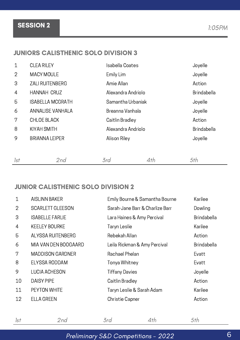Preliminary S&D Competitions - 2022

## SESSION 2 1:05PM

#### JUNIORS CALISTHENIC SOLO DIVISION 3

| $\mathbf{1}$   | <b>CLEA RILEY</b>       | Isabella Coates    |     | Joyelle            |
|----------------|-------------------------|--------------------|-----|--------------------|
| $\overline{2}$ | <b>MACY MOULE</b>       | Emily Lim          |     | Joyelle            |
| 3              | <b>ZALI RUITENBERG</b>  | Amie Allan         |     | Action             |
| $\overline{4}$ | <b>HANNAH CRUZ</b>      | Alexandra Andriolo |     | Brindabella        |
| 5              | <b>ISABELLA MCGRATH</b> | Samantha Urbaniak  |     | Joyelle            |
| 6              | ANNALISE VANHALA        | Breanna Vanhala    |     | Joyelle            |
| 7              | <b>CHLOE BLACK</b>      | Caitlin Bradley    |     | Action             |
| 8              | <b>KIYAH SMITH</b>      | Alexandra Andriolo |     | <b>Brindabella</b> |
| 9              | <b>BRIANNA LEIPER</b>   | Alison Riley       |     | Joyelle            |
|                |                         |                    |     |                    |
| 1st            | 2nd                     | 3rd                | 4th | 5th                |

#### JUNIOR CALISTHENIC SOLO DIVISION 2

| $\mathbf 1$    | <b>AISLINN BAKER</b>     | Emily Bourne & Samantha Bourne  | Karilee            |
|----------------|--------------------------|---------------------------------|--------------------|
| $\overline{2}$ | <b>SCARLETT GLEESON</b>  | Sarah-Jane Barr & Charlize Barr | Dowling            |
| 3              | <b>ISABELLE FARLIE</b>   | Lara Haines & Amy Percival      | <b>Brindabella</b> |
| 4              | <b>KEELEY BOURKE</b>     | Taryn Leslie                    | Karilee            |
| 5              | <b>ALYSSA RUITENBERG</b> | Rebekah Allan                   | Action             |
| 6              | MIA VAN DEN BOOGAARD     | Leila Rickman & Amy Percival    | <b>Brindabella</b> |
| 7              | <b>MADDISON GARDNER</b>  | Rachael Phelan                  | Evatt              |
| 8              | ELYSSA RODDAM            | Tonya Whitney                   | Evatt              |
| 9              | <b>LUCIA ACHESON</b>     | <b>Tiffany Davies</b>           | Joyelle            |
| 10             | <b>DAISY PIPE</b>        | Caitlin Bradley                 | Action             |
| 11             | PEYTON WHITE             | Taryn Leslie & Sarah Adam       | Karilee            |
| 12             | <b>ELLA GREEN</b>        | <b>Christie Capner</b>          | Action             |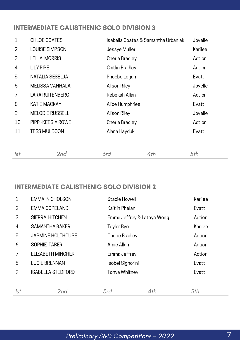#### INTERMEDIATE CALISTHENIC SOLO DIVISION 3

| $\mathbf 1$    | CHLOE COATES           | Isabella Coates & Samantha Urbaniak | Joyelle |
|----------------|------------------------|-------------------------------------|---------|
| $\overline{2}$ | LOUISE SIMPSON         | Jessye Muller                       | Karilee |
| 3              | <b>LEIHA MORRIS</b>    | Cherie Bradley                      | Action  |
| 4              | <b>LILY PIPE</b>       | Caitlin Bradley                     | Action  |
| 5              | NATALIA SESELJA        | Phoebe Logan                        | Evatt   |
| 6              | MELISSA VANHALA        | Alison Riley                        | Joyelle |
| 7              | <b>LARA RUITENBERG</b> | Rebekah Allan                       | Action  |
| 8              | <b>KATIE MACKAY</b>    | Alice Humphries                     | Evatt   |
| 9              | <b>MELODIE RUSSELL</b> | Alison Riley                        | Joyelle |
| 10             | PIPPI-KEESIA ROWE      | Cherie Bradley                      | Action  |
| 11             | <b>TESS MULDOON</b>    | Alana Hayduk                        | Evatt   |
|                |                        |                                     |         |
|                |                        |                                     |         |

#### INTERMEDIATE CALISTHENIC SOLO DIVISION 2

| 1              | <b>EMMA NICHOLSON</b>    | Stacie Howell              |     | Karilee |
|----------------|--------------------------|----------------------------|-----|---------|
| $\overline{2}$ | EMMA COPELAND            | Kaitlin Phelan             |     | Evatt   |
| 3              | <b>SIERRA HITCHEN</b>    | Emma Jeffrey & Latoya Wong |     | Action  |
| $\overline{4}$ | <b>SAMANTHA BAKER</b>    | Taylor Bye                 |     | Karilee |
| 5              | <b>JASMINE HOLTHOUSE</b> | Cherie Bradley             |     | Action  |
| 6              | SOPHIE TABER             | Amie Allan                 |     | Action  |
| 7              | ELIZABETH MINCHER        | Emma Jeffrey               |     | Action  |
| 8              | <b>LUCIE BRENNAN</b>     | Isobel Signorini           |     | Evatt   |
| 9              | <b>ISABELLA STEDFORD</b> | Tonya Whitney              |     | Evatt   |
|                |                          |                            |     |         |
| 1st            | 2nd                      | 3rd                        | 4th | 5th     |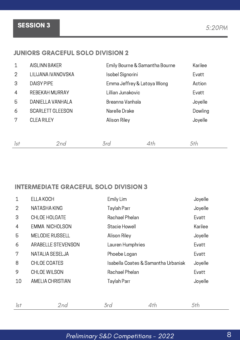## SESSION 3 5:20PM

#### JUNIORS GRACEFUL SOLO DIVISION 2

| $\mathbf 1$    | <b>AISLINN BAKER</b>    | Emily Bourne & Samantha Bourne |     | Karilee |
|----------------|-------------------------|--------------------------------|-----|---------|
| $\overline{2}$ | LILIJANA IVANOVSKA      | Isobel Signorini               |     | Evatt   |
| 3              | <b>DAISY PIPE</b>       | Emma Jeffrey & Latoya Wong     |     | Action  |
| $\overline{4}$ | REBEKAH MURRAY          | Lillian Junakovic              |     | Evatt   |
| 5              | DANIELLA VANHALA        | Breanna Vanhala                |     | Joyelle |
| 6              | <b>SCARLETT GLEESON</b> | Narelle Drake                  |     | Dowling |
| 7              | <b>CLEA RILEY</b>       | Alison Riley                   |     | Joyelle |
|                |                         |                                |     |         |
|                |                         |                                |     |         |
| Isf            | 2nd                     | 3rd                            | 4th | 5th     |

#### INTERMEDIATE GRACEFUL SOLO DIVISION 3

| $\mathbf 1$     | <b>ELLA KOCH</b>          | Emily Lim                           |     | Joyelle |
|-----------------|---------------------------|-------------------------------------|-----|---------|
| $\overline{2}$  | <b>NATASHA KING</b>       | Taylah Parr                         |     | Joyelle |
| 3               | <b>CHLOE HOLGATE</b>      | Rachael Phelan                      |     | Evatt   |
| $\overline{4}$  | <b>EMMA NICHOLSON</b>     | Stacie Howell                       |     | Karilee |
| 5               | <b>MELODIE RUSSELL</b>    | Alison Riley                        |     | Joyelle |
| 6               | <b>ARABELLE STEVENSON</b> | Lauren Humphries                    |     | Evatt   |
| 7               | NATALIA SESELJA           | Phoebe Logan                        |     | Evatt   |
| 8               | <b>CHLOE COATES</b>       | Isabella Coates & Samantha Urbaniak |     | Joyelle |
| 9               | <b>CHLOE WILSON</b>       | Rachael Phelan                      |     | Evatt   |
| 10              | AMELIA CHRISTIAN          | Taylah Parr                         |     | Joyelle |
|                 |                           |                                     |     |         |
| Is <sub>t</sub> | 2nd                       | 3rd                                 | 4th | 5th     |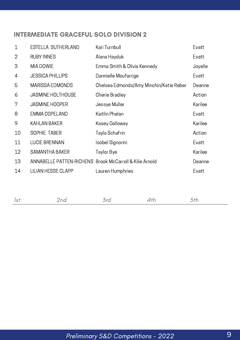#### INTERMEDIATE GRACEFUL SOLO DIVISION 2

| $\mathbf 1$    | ESTELLA SUTHERLAND                                      | Kari Turnbull                           | Evatt   |
|----------------|---------------------------------------------------------|-----------------------------------------|---------|
| $\overline{2}$ | <b>RUBY INNES</b>                                       | Alana Hayduk                            | Evatt   |
| 3              | MIA DOWIE                                               | Emma Smith & Olivia Kennedy             | Joyelle |
| 4              | <b>JESSICA PHILLIPS</b>                                 | Dannielle Moufarrige                    | Evatt   |
| 5              | <b>MARISSA EDMONDS</b>                                  | Chelsea Edmonds/Amy Minchin/Katie Reber | Deanne  |
| 6              | <b>JASMINE HOLTHOUSE</b>                                | Cherie Bradley                          | Action  |
| 7              | <b>JASMINE HOOPER</b>                                   | Jessye Muller                           | Karilee |
| 8              | <b>EMMA COPELAND</b>                                    | Kaitlin Phelan                          | Evatt   |
| 9              | <b>KAHLAN BAKER</b>                                     | Kasey Galloway                          | Karilee |
| 10             | SOPHIE TABER                                            | Tayla Schafrin                          | Action  |
| 11             | <b>LUCIE BRENNAN</b>                                    | Isobel Signorini                        | Evatt   |
| 12             | <b>SAMANTHA BAKER</b>                                   | Taylor Bye                              | Karilee |
| 13             | ANNABELLE PATTEN-RICHENS Brook McCarroll & Kilie Arnold |                                         | Deanne  |
| 14             | <b>LILIAN HESSE CLAPP</b>                               | Lauren Humphries                        | Evatt   |
|                |                                                         |                                         |         |
|                |                                                         |                                         |         |

|--|--|--|--|--|--|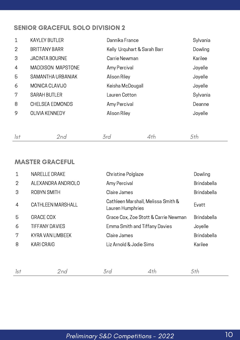#### SENIOR GRACEFUL SOLO DIVISION 2

| $\mathbf 1$    | <b>KAYLEY BUTLER</b>     | Dannika France              | Sylvania |
|----------------|--------------------------|-----------------------------|----------|
| 2              | <b>BRITTANY BARR</b>     | Kelly Urquhart & Sarah Barr | Dowling  |
| 3              | <b>JACINTA BOURNE</b>    | Carrie Newman               | Karilee  |
| $\overline{4}$ | <b>MADDISON MAPSTONE</b> | Amy Percival                | Joyelle  |
| 5              | SAMANTHA URBANIAK        | Alison Riley                | Joyelle  |
| 6              | MONICA CLAVIJO           | Keisha McDougall            | Joyelle  |
| 7              | <b>SARAH BUTLER</b>      | Lauren Cotton               | Sylvania |
| 8              | <b>CHELSEA EDMONDS</b>   | Amy Percival                | Deanne   |
| 9              | <b>OLIVIA KENNEDY</b>    | Alison Riley                | Joyelle  |
|                |                          |                             |          |

#### MASTER GRACEFUL

| $\mathbf 1$    | <b>NARELLE DRAKE</b>     | Christine Polglaze                                     |                                      | Dowling            |
|----------------|--------------------------|--------------------------------------------------------|--------------------------------------|--------------------|
| 2              | ALEXANDRA ANDRIOLO       | Amy Percival                                           |                                      | <b>Brindabella</b> |
| 3              | ROBYN SMITH              | Claire James                                           |                                      | <b>Brindabella</b> |
| $\overline{4}$ | <b>CATHLEEN MARSHALL</b> | Cathleen Marshall, Melissa Smith &<br>Lauren Humphries |                                      | Evatt              |
| 5              | <b>GRACE COX</b>         |                                                        | Grace Cox, Zoe Stott & Carrie Newman | <b>Brindabella</b> |
| 6              | <b>TIFFANY DAVIES</b>    | Emma Smith and Tiffany Davies                          |                                      | Joyelle            |
| 7              | <b>KYRA VAN LIMBEEK</b>  | Claire James                                           |                                      | <b>Brindabella</b> |
| 8              | <b>KARI CRAIG</b>        | Liz Arnold & Jodie Sims                                |                                      | Karilee            |
|                |                          |                                                        |                                      |                    |
|                |                          |                                                        |                                      |                    |
| 1st            | 2nd                      | 3rd                                                    | 4th                                  | 5th                |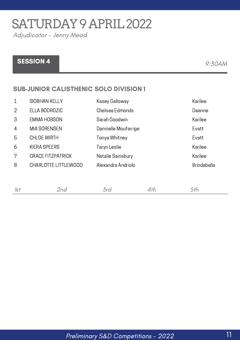SATURDAY 9 APRIL 2022

Adjudicator - Jenny Mead

## SESSION 4 9:30AM

#### SUB-JUNIOR CALISTHENIC SOLO DIVISION 1

| $\mathbf 1$    | <b>SIOBHAN KELLY</b>        | Kasey Galloway       | Karilee            |
|----------------|-----------------------------|----------------------|--------------------|
| $\overline{2}$ | ELLA BODROZIC               | Chelsea Edmonds      | Deanne             |
| 3              | <b>EMMA HOBSON</b>          | Sarah Goodwin        | Karilee            |
| $\overline{4}$ | <b>MIA SORENSEN</b>         | Dannielle Moufarrige | Evatt              |
| 5              | <b>CHLOE WIRTH</b>          | Tonya Whitney        | Evatt              |
| 6              | <b>KIERA SPEERS</b>         | Taryn Leslie         | Karilee            |
| 7              | <b>GRACE FITZPATRICK</b>    | Natalie Sainsbury    | Karilee            |
| 8              | <b>CHARLOTTE LITTLEWOOD</b> | Alexandra Andriolo   | <b>Brindabella</b> |
|                |                             |                      |                    |
|                |                             |                      |                    |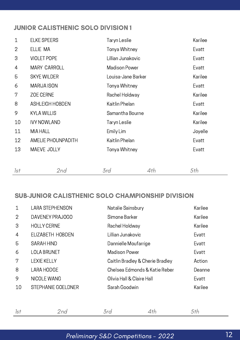#### JUNIOR CALISTHENIC SOLO DIVISION 1

| $\mathbf 1$    | <b>ELKE SPEERS</b>     | Taryn Leslie       |     | Karilee |
|----------------|------------------------|--------------------|-----|---------|
| $\overline{2}$ | ELLIE MA               | Tonya Whitney      |     | Evatt   |
| 3              | <b>VIOLET POPE</b>     | Lillian Junakovic  |     | Evatt   |
| 4              | <b>MARY CARROLL</b>    | Madison Power      |     | Evatt   |
| 5              | <b>SKYE WILDER</b>     | Louisa-Jane Barker |     | Karilee |
| 6              | <b>MARIJA ISON</b>     | Tonya Whitney      |     | Evatt   |
| 7              | <b>ZOE CERNE</b>       | Rachel Holdway     |     | Karilee |
| 8              | <b>ASHLEIGH HOBDEN</b> | Kaitlin Phelan     |     | Evatt   |
| 9              | <b>KYLA WILLIS</b>     | Samantha Bourne    |     | Karilee |
| 10             | <b>IVY NOWLAND</b>     | Taryn Leslie       |     | Karilee |
| 11             | MIA HALL               | Emily Lim          |     | Joyelle |
| 12             | AMELIE PHOUNPADITH     | Kaitlin Phelan     |     | Evatt   |
| 13             | MAEVE JOLLY            | Tonya Whitney      |     | Evatt   |
|                |                        |                    |     |         |
| 1st            | 2nd                    | 3rd                | 4th | 5th     |

#### SUB-JUNIOR CALISTHENIC SOLO CHAMPIONSHIP DIVISION

| $\mathbf 1$    | <b>LARA STEPHENSON</b>    | Natalie Sainsbury                | Karilee |
|----------------|---------------------------|----------------------------------|---------|
| $\overline{2}$ | DAVENEY PRAJOGO           | Simone Barker                    | Karilee |
| 3              | <b>HOLLY CERNE</b>        | Rachel Holdway                   | Karilee |
| $\overline{4}$ | ELIZABETH HOBDEN          | Lillian Junakovic                | Evatt   |
| 5              | <b>SARAH HIND</b>         | Dannielle Moufarrige             | Evatt   |
| 6              | <b>LOLA BRUNET</b>        | <b>Madison Power</b>             | Evatt   |
| 7              | <b>LEXIE KELLY</b>        | Caitlin Bradley & Cherie Bradley | Action  |
| 8              | <b>LARA HODGE</b>         | Chelsea Edmonds & Katie Reber    | Deanne  |
| 9              | NICOLE WANG               | Olivia Hall & Claire Hall        | Evatt   |
| 10             | <b>STEPHANIE GOELDNER</b> | Sarah Goodwin                    | Karilee |
|                |                           |                                  |         |
|                |                           |                                  |         |

#### Preliminary S&D Competitions - 2022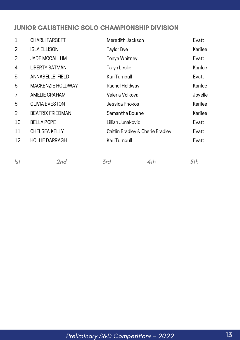#### JUNIOR CALISTHENIC SOLO CHAMPIONSHIP DIVISION

| $\mathbf{1}$   | <b>CHARLI TARGETT</b>   | Meredith Jackson                 |     | Evatt   |
|----------------|-------------------------|----------------------------------|-----|---------|
| $\overline{2}$ | <b>ISLA ELLISON</b>     | Taylor Bye                       |     | Karilee |
| 3              | <b>JADE MCCALLUM</b>    | Tonya Whitney                    |     | Evatt   |
| 4              | <b>LIBERTY BATMAN</b>   | Taryn Leslie                     |     | Karilee |
| 5              | <b>ANNABELLE FIELD</b>  | Kari Turnbull                    |     | Evatt   |
| 6              | MACKENZIE HOLDWAY       | Rachel Holdway                   |     | Karilee |
| 7              | <b>AMELIE GRAHAM</b>    | Valeria Volkova                  |     | Joyelle |
| 8              | <b>OLIVIA EVESTON</b>   | Jessica Phokos                   |     | Karilee |
| 9              | <b>BEATRIX FRIEDMAN</b> | Samantha Bourne                  |     | Karilee |
| 10             | <b>BELLA POPE</b>       | Lillian Junakovic                |     | Evatt   |
| 11             | <b>CHELSEA KELLY</b>    | Caitlin Bradley & Cherie Bradley |     | Evatt   |
| 12             | <b>HOLLIE DARRAGH</b>   | Kari Turnbull                    |     | Evatt   |
|                |                         |                                  |     |         |
| 1st            | 2nd                     | 3rd                              | 4th | 5th     |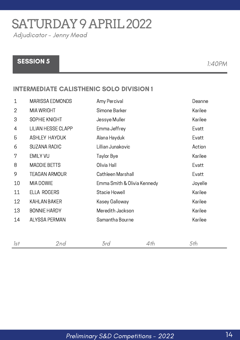SATURDAY 9 APRIL 2022

Adjudicator - Jenny Mead

### SESSION 5 1:40PM

#### INTERMEDIATE CALISTHENIC SOLO DIVISION 1

| $\mathbf 1$ | <b>MARISSA EDMONDS</b>    | Amy Percival                | Deanne  |
|-------------|---------------------------|-----------------------------|---------|
| 2           | <b>MIA WRIGHT</b>         | Simone Barker               | Karilee |
| 3           | SOPHIE KNIGHT             | Jessye Muller               | Karilee |
| 4           | <b>LILIAN HESSE CLAPP</b> | Emma Jeffrey                | Evatt   |
| 5           | <b>ASHLEY HAYDUK</b>      | Alana Hayduk                | Evatt   |
| 6           | <b>SUZANA RADIC</b>       | Lillian Junakovic           | Action  |
| 7           | <b>EMILY VU</b>           | Taylor Bye                  | Karilee |
| 8           | <b>MADDIE BETTS</b>       | Olivia Hall                 | Evatt   |
| 9           | <b>TEAGAN ARMOUR</b>      | Cathleen Marshall           | Evatt   |
| 10          | MIA DOWIE                 | Emma Smith & Olivia Kennedy | Joyelle |
| 11          | ELLA ROGERS               | Stacie Howell               | Karilee |
| 12          | <b>KAHLAN BAKER</b>       | Kasey Galloway              | Karilee |
| 13          | <b>BONNIE HARDY</b>       | Meredith Jackson            | Karilee |
| 14          | <b>ALYSSA PERMAN</b>      | Samantha Bourne             | Karilee |
|             |                           |                             |         |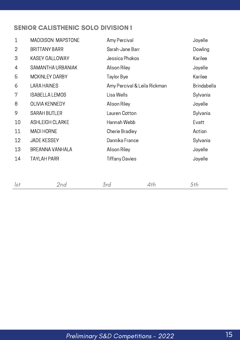#### SENIOR CALISTHENIC SOLO DIVISION 1

| $\mathbf 1$    | <b>MADDISON MAPSTONE</b> | Amy Percival                 | Joyelle            |
|----------------|--------------------------|------------------------------|--------------------|
| $\overline{2}$ | <b>BRITTANY BARR</b>     | Sarah-Jane Barr              | Dowling            |
| 3              | <b>KASEY GALLOWAY</b>    | Jessica Phokos               | Karilee            |
| 4              | SAMANTHA URBANIAK        | Alison Riley                 | Joyelle            |
| 5              | <b>MCKINLEY DARBY</b>    | Taylor Bye                   | Karilee            |
| 6              | <b>LARA HAINES</b>       | Amy Percival & Leila Rickman | <b>Brindabella</b> |
| 7              | <b>ISABELLA LEMOS</b>    | Lisa Wells                   | Sylvania           |
| 8              | <b>OLIVIA KENNEDY</b>    | Alison Riley                 | Joyelle            |
| 9              | <b>SARAH BUTLER</b>      | Lauren Cotton                | Sylvania           |
| 10             | <b>ASHLEIGH CLARKE</b>   | Hannah Webb                  | Evatt              |
| 11             | <b>MADI HORNE</b>        | Cherie Bradley               | Action             |
| 12             | <b>JADE KESSEY</b>       | Dannika France               | Sylvania           |
| 13             | <b>BREANNA VANHALA</b>   | Alison Riley                 | Joyelle            |
| 14             | <b>TAYLAH PARR</b>       | Tiffany Davies               | Joyelle            |
|                |                          |                              |                    |

|--|--|--|--|--|--|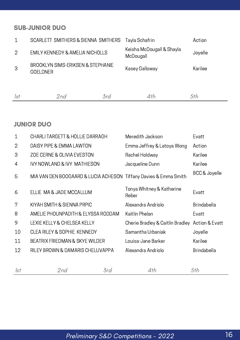#### SUB-JUNIOR DUO

|   | SCARLETT SMITHERS & SIENNA SMITHERS                  | Tayla Schafrin                         | Action  |
|---|------------------------------------------------------|----------------------------------------|---------|
| 2 | EMILY KENNEDY & AMELIA NICHOLLS                      | Keisha McDougall & Shayla<br>McDougall | Joyelle |
| 3 | BROOKLYN SIMS-ERIKSEN & STEPHANIE<br><b>GOELDNER</b> | Kasey Galloway                         | Karilee |
|   |                                                      |                                        |         |

#### JUNIOR DUO

| $\mathbf{1}$   | <b>CHARLI TARGETT &amp; HOLLIE DARRAGH</b>                       | Meredith Jackson                   | Evatt              |
|----------------|------------------------------------------------------------------|------------------------------------|--------------------|
| $\overline{2}$ | DAISY PIPE & EMMA LAWTON                                         | Emma Jeffrey & Latoya Wong         | Action             |
| 3              | ZOE CERNE & OLIVIA EVESTON                                       | Rachel Holdway                     | Karilee            |
| 4              | <b>IVY NOWLAND &amp; IVY MATHIESON</b>                           | Jacqueline Dunn                    | Karilee            |
| 5              | MIA VAN DEN BOOGAARD & LUCIA ACHESON Tiffany Davies & Emma Smith |                                    | BCC & Joyelle      |
| 6              | ELLIE MA & JADE MCCALLUM                                         | Tonya Whitney & Katherine<br>Reber | Evatt              |
| 7              | KIYAH SMITH & SIENNA PRPIC                                       | Alexandra Andriolo                 | <b>Brindabella</b> |
| 8              | AMELIE PHOUNPADITH & ELYSSA RODDAM                               | Kaitlin Phelan                     | Evatt              |
| 9              | LEXIE KELLY & CHELSEA KELLY                                      | Cherie Bradley & Caitlin Bradley   | Action & Evatt     |
| 10             | <b>CLEA RILEY &amp; SOPHIE KENNEDY</b>                           | Samantha Urbaniak                  | Joyelle            |
| 11             | <b>BEATRIX FRIEDMAN &amp; SKYE WILDER</b>                        | Louisa-Jane Barker                 | Karilee            |
| 12             | RILEY BROWN & DAMARIS CHELUVAPPA                                 | Alexandra Andriolo                 | <b>Brindabella</b> |
|                |                                                                  |                                    |                    |
| 1st            | 3rd<br>2nd                                                       | 4th                                | 5th                |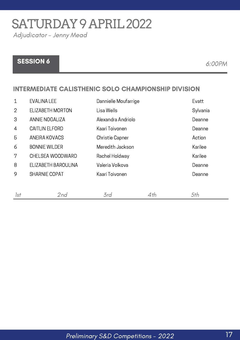SATURDAY 9 APRIL 2022

Adjudicator - Jenny Mead

### SESSION 6 6:00PM

#### INTERMEDIATE CALISTHENIC SOLO CHAMPIONSHIP DIVISION

| $\mathbf 1$    | <b>EVALINA LEE</b>    | Dannielle Moufarrige   |     | Evatt    |
|----------------|-----------------------|------------------------|-----|----------|
| $\overline{2}$ | ELIZABETH MORTON      | Lisa Wells             |     | Sylvania |
| 3              | ANNIE NOGALIZA        | Alexandra Andriolo     |     | Deanne   |
| $\overline{4}$ | <b>CAITLIN ELFORD</b> | Kaari Toivonen         |     | Deanne   |
| 5              | ANEIRA KOVACS         | <b>Christie Capner</b> |     | Action   |
| 6              | <b>BONNIE WILDER</b>  | Meredith Jackson       |     | Karilee  |
| 7              | CHELSEA WOODWARD      | Rachel Holdway         |     | Karilee  |
| 8              | ELIZABETH BAROULINA   | Valeria Volkova        |     | Deanne   |
| 9              | <b>SHARNIE COPAT</b>  | Kaari Toivonen         |     | Deanne   |
|                |                       |                        |     |          |
| 1st            | 2nd                   | 3rd                    | 4th | 5th      |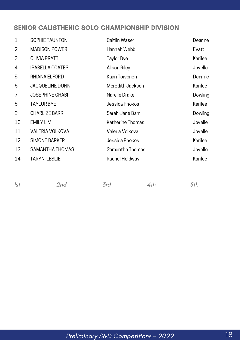#### SENIOR CALISTHENIC SOLO CHAMPIONSHIP DIVISION

| $\mathbf 1$    | SOPHIE TAUNTON         | Caitlin Waser    | Deanne  |
|----------------|------------------------|------------------|---------|
| $\overline{2}$ | <b>MADISON POWER</b>   | Hannah Webb      | Evatt   |
| 3              | <b>OLIVIA PRATT</b>    | Taylor Bye       | Karilee |
| 4              | <b>ISABELLA COATES</b> | Alison Riley     | Joyelle |
| 5              | RHIANA ELFORD          | Kaari Toivonen   | Deanne  |
| 6              | <b>JACQUELINE DUNN</b> | Meredith Jackson | Karilee |
| 7              | <b>JOSEPHINE CHABI</b> | Narelle Drake    | Dowling |
| 8              | <b>TAYLOR BYE</b>      | Jessica Phokos   | Karilee |
| 9              | <b>CHARLIZE BARR</b>   | Sarah-Jane Barr  | Dowling |
| 10             | <b>EMILY LIM</b>       | Katherine Thomas | Joyelle |
| 11             | VALERIA VOLKOVA        | Valeria Volkova  | Joyelle |
| 12             | <b>SIMONE BARKER</b>   | Jessica Phokos   | Karilee |
| 13             | SAMANTHA THOMAS        | Samantha Thomas  | Joyelle |
| 14             | <b>TARYN LESLIE</b>    | Rachel Holdway   | Karilee |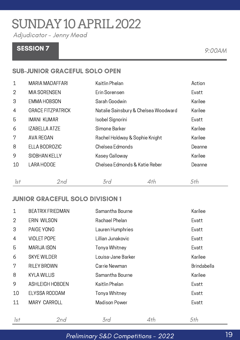## SUNDAY10APRIL2022

Adjudicator - Jenny Mead

### SESSION 7 9:00 AM

#### SUB-JUNIOR GRACEFUL SOLO OPEN

| 1              | <b>MARIA MADAFFARI</b>   | Kaitlin Phelan                       |     | Action  |
|----------------|--------------------------|--------------------------------------|-----|---------|
| $\overline{2}$ | MIA SORENSEN             | Erin Sorensen                        |     | Evatt   |
| 3              | <b>EMMA HOBSON</b>       | Sarah Goodwin                        |     | Karilee |
| 4              | <b>GRACE FITZPATRICK</b> | Natalie Sainsbury & Chelsea Woodward |     | Karilee |
| 5              | <b>IMANI KUMAR</b>       | Isobel Signorini                     |     | Evatt   |
| 6              | <b>IZABELLA ATZE</b>     | Simone Barker                        |     | Karilee |
| 7              | AVA REGAN                | Rachel Holdway & Sophie Knight       |     | Karilee |
| 8              | ELLA BODROZIC            | Chelsea Edmonds                      |     | Deanne  |
| 9              | <b>SIOBHAN KELLY</b>     | Kasey Galloway                       |     | Karilee |
| 10             | <b>LARA HODGE</b>        | Chelsea Edmonds & Katie Reber        |     | Deanne  |
|                |                          |                                      |     |         |
| 1st            | 2nd                      | 3rd                                  | 4th | 5th     |

#### JUNIOR GRACEFUL SOLO DIVISION 1

| $\mathbf 1$    | <b>BEATRIX FRIEDMAN</b> | Samantha Bourne    |     | Karilee            |
|----------------|-------------------------|--------------------|-----|--------------------|
| $\overline{2}$ | ERIN WILSON             | Rachael Phelan     |     | Evatt              |
| 3              | <b>PAIGE YONG</b>       | Lauren Humphries   |     | Evatt              |
| 4              | <b>VIOLET POPE</b>      | Lillian Junakovic  |     | Evatt              |
| 5              | <b>MARIJA ISON</b>      | Tonya Whitney      |     | Evatt              |
| 6              | <b>SKYE WILDER</b>      | Louisa-Jane Barker |     | Karilee            |
| 7              | <b>RILEY BROWN</b>      | Carrie Newman      |     | <b>Brindabella</b> |
| 8              | <b>KYLA WILLIS</b>      | Samantha Bourne    |     | Karilee            |
| 9              | <b>ASHLEIGH HOBDEN</b>  | Kaitlin Phelan     |     | Evatt              |
| 10             | ELYSSA RODDAM           | Tonya Whitney      |     | Evatt              |
| 11             | <b>MARY CARROLL</b>     | Madison Power      |     | Evatt              |
| 1st            | 2nd                     | 3rd                | 4th | 5th                |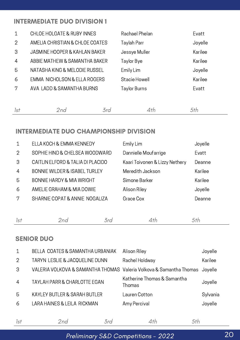#### INTERMEDIATE DUO DIVISION 1

| $\mathbf 1$    | <b>CHLOE HOLGATE &amp; RUBY INNES</b> |     | Rachael Phelan       |     | Evatt   |
|----------------|---------------------------------------|-----|----------------------|-----|---------|
| $\overline{2}$ | AMELIA CHRISTIAN & CHLOE COATES       |     | Taylah Parr          |     | Joyelle |
| 3              | JASMINE HOOPER & KAHLAN BAKER         |     | Jessye Muller        |     | Karilee |
| $\overline{4}$ | ABBIE MATHEW & SAMANTHA BAKER         |     | Taylor Bye           |     | Karilee |
| 5              | NATASHA KING & MELODIE RUSSEL         |     | Emily Lim            |     | Joyelle |
| 6              | EMMA NICHOLSON & ELLA ROGERS          |     | <b>Stacie Howell</b> |     | Karilee |
| 7              | AVA LADD & SAMANTHA BURNS             |     | Taylor Burns         |     | Evatt   |
|                |                                       |     |                      |     |         |
| 1st            | 2nd                                   | 3rd |                      | 4th | 5th     |

#### INTERMEDIATE DUO CHAMPIONSHIP DIVISION

| $\mathbf 1$    | ELLA KOCH & EMMA KENNEDY                 |     | Emily Lim                      | Joyelle |
|----------------|------------------------------------------|-----|--------------------------------|---------|
| 2              | SOPHIE HIND & CHELSEA WOODWARD           |     | Dannielle Moufarrige           | Evatt   |
| 3              | CAITLIN ELFORD & TALIA DI PLACIDO        |     | Kaari Toivonen & Lizzy Nethery | Deanne  |
| $\overline{4}$ | <b>BONNIE WILDER &amp; ISABEL TURLEY</b> |     | Meredith Jackson               | Karilee |
| 5              | <b>BONNIE HARDY &amp; MIA WRIGHT</b>     |     | Simone Barker                  | Karilee |
| 6              | AMELIE GRAHAM & MIA DOWIE                |     | Alison Riley                   | Joyelle |
| 7              | SHARNIE COPAT & ANNIE NOGALIZA           |     | Grace Cox                      | Deanne  |
|                |                                          |     |                                |         |
| 1st            | 2nd                                      | 3rd | 4th                            | 5th     |

#### SENIOR DUO

| $\mathbf{1}$   | BELLA COATES & SAMANTHA URBANIAK                                            | Alison Riley                          | Joyelle  |
|----------------|-----------------------------------------------------------------------------|---------------------------------------|----------|
| $\overline{2}$ | TARYN LESLIE & JACQUELINE DUNN                                              | Rachel Holdway                        | Karilee  |
| 3              | VALERIA VOLKOVA & SAMANTHA THOMAS Valeria Volkova & Samantha Thomas Joyelle |                                       |          |
| $\overline{4}$ | <b>TAYLAH PARR &amp; CHARLOTTE EGAN</b>                                     | Katherine Thomas & Samantha<br>Thomas | Joyelle  |
| 5              | <b>KAYLEY BUTLER &amp; SARAH BUTLER</b>                                     | Lauren Cotton                         | Sylvania |
| 6              | LARA HAINES & LEILA RICKMAN                                                 | Amy Percival                          | Joyelle  |
|                |                                                                             |                                       |          |

Preliminary S&D Competitions - 2022

1st 2nd 3rd 4th 5th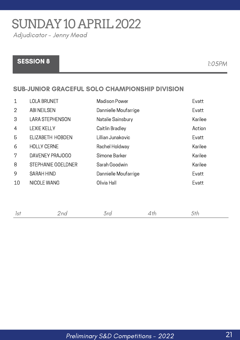## SUNDAY10APRIL2022

Adjudicator - Jenny Mead

### SESSION 8 1:05PM

#### SUB-JUNIOR GRACEFUL SOLO CHAMPIONSHIP DIVISION

| $\mathbf 1$    | <b>LOLA BRUNET</b>        | <b>Madison Power</b> | Evatt   |
|----------------|---------------------------|----------------------|---------|
| $\overline{2}$ | <b>ABI NEILSEN</b>        | Dannielle Moufarrige | Evatt   |
| 3              | <b>LARA STEPHENSON</b>    | Natalie Sainsbury    | Karilee |
| $\overline{4}$ | <b>LEXIE KELLY</b>        | Caitlin Bradley      | Action  |
| 5              | ELIZABETH HOBDEN          | Lillian Junakovic    | Evatt   |
| 6              | <b>HOLLY CERNE</b>        | Rachel Holdway       | Karilee |
| 7              | DAVENEY PRAJOGO           | Simone Barker        | Karilee |
| 8              | <b>STEPHANIE GOELDNER</b> | Sarah Goodwin        | Karilee |
| 9              | <b>SARAH HIND</b>         | Dannielle Moufarrige | Evatt   |
| 10             | NICOLE WANG               | Olivia Hall          | Evatt   |
|                |                           |                      |         |
|                |                           |                      |         |

| the contract of the contract of the contract of |  |
|-------------------------------------------------|--|
|-------------------------------------------------|--|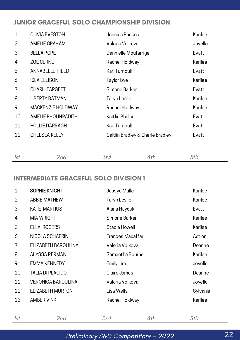#### JUNIOR GRACEFUL SOLO CHAMPIONSHIP DIVISION

| <b>OLIVIA EVESTON</b>    | Jessica Phokos                   | Karilee |
|--------------------------|----------------------------------|---------|
| AMELIE GRAHAM            | Valeria Volkova                  | Joyelle |
| <b>BELLA POPE</b>        | Dannielle Moufarrige             | Evatt   |
| <b>ZOE CERNE</b>         | Rachel Holdway                   | Karilee |
| <b>ANNABELLE FIELD</b>   | Kari Turnbull                    | Evatt   |
| <b>ISLA ELLISON</b>      | Taylor Bye                       | Karilee |
| <b>CHARLI TARGETT</b>    | Simone Barker                    | Evatt   |
| <b>LIBERTY BATMAN</b>    | Taryn Leslie                     | Karilee |
| <b>MACKENZIE HOLDWAY</b> | Rachel Holdway                   | Karilee |
| AMELIE PHOUNPADITH       | Kaitlin Phelan                   | Evatt   |
| <b>HOLLIE DARRAGH</b>    | Kari Turnbull                    | Evatt   |
| <b>CHELSEA KELLY</b>     | Caitlin Bradley & Cherie Bradley | Evatt   |
|                          |                                  |         |
|                          |                                  |         |

| 1st | 2nd | 3rd | 4th<br><i>5th</i> |  |
|-----|-----|-----|-------------------|--|
|-----|-----|-----|-------------------|--|

#### INTERMEDIATE GRACEFUL SOLO DIVISION 1

| $\mathbf 1$    | SOPHIE KNIGHT             | Jessye Muller     | Karilee  |
|----------------|---------------------------|-------------------|----------|
| $\overline{2}$ | <b>ABBIE MATHEW</b>       | Taryn Leslie      | Karilee  |
| 3              | <b>KATE MARTIUS</b>       | Alana Hayduk      | Evatt    |
| 4              | <b>MIA WRIGHT</b>         | Simone Barker     | Karilee  |
| 5              | <b>ELLA ROGERS</b>        | Stacie Howell     | Karilee  |
| 6              | NICOLA SCHAFRIN           | Frances Madaffari | Action   |
| 7              | ELIZABETH BAROULINA       | Valeria Volkova   | Deanne   |
| 8              | <b>ALYSSA PERMAN</b>      | Samantha Bourne   | Karilee  |
| 9              | <b>EMMA KENNEDY</b>       | Emily Lim         | Joyelle  |
| 10             | <b>TALIA DI PLACIDO</b>   | Claire James      | Deanne   |
| 11             | <b>VERONICA BAROULINA</b> | Valeria Volkova   | Joyelle  |
| 12             | ELIZABETH MORTON          | Lisa Wells        | Sylvania |
| 13             | <b>AMBER VINK</b>         | Rachel Holdway    | Karilee  |
|                |                           |                   |          |

|  | _______ |  |
|--|---------|--|
|  |         |  |

#### Preliminary S&D Competitions - 2022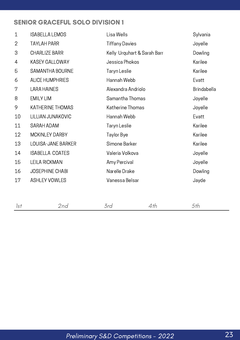#### SENIOR GRACEFUL SOLO DIVISION 1

| $\mathbf{1}$   | <b>ISABELLA LEMOS</b>   | Lisa Wells                  | Sylvania           |
|----------------|-------------------------|-----------------------------|--------------------|
| $\overline{2}$ | <b>TAYLAH PARR</b>      | <b>Tiffany Davies</b>       | Joyelle            |
| 3              | <b>CHARLIZE BARR</b>    | Kelly Urquhart & Sarah Barr | Dowling            |
| 4              | <b>KASEY GALLOWAY</b>   | Jessica Phokos              | Karilee            |
| 5              | <b>SAMANTHA BOURNE</b>  | Taryn Leslie                | Karilee            |
| 6              | <b>ALICE HUMPHRIES</b>  | Hannah Webb                 | Evatt              |
| 7              | <b>LARA HAINES</b>      | Alexandra Andriolo          | <b>Brindabella</b> |
| 8              | <b>EMILY LIM</b>        | Samantha Thomas             | Joyelle            |
| 9              | <b>KATHERINE THOMAS</b> | Katherine Thomas            | Joyelle            |
| 10             | LILLIAN JUNAKOVIC       | Hannah Webb                 | Evatt              |
| 11             | SARAH ADAM              | Taryn Leslie                | Karilee            |
| 12             | <b>MCKINLEY DARBY</b>   | Taylor Bye                  | Karilee            |
| 13             | LOUISA-JANE BARKER      | Simone Barker               | Karilee            |
| 14             | <b>ISABELLA COATES</b>  | Valeria Volkova             | Joyelle            |
| 15             | <b>LEILA RICKMAN</b>    | Amy Percival                | Joyelle            |
| 16             | <b>JOSEPHINE CHABI</b>  | Narelle Drake               | Dowling            |
| 17             | <b>ASHLEY VOWLES</b>    | Vanessa Belsar              | Jayde              |
|                |                         |                             |                    |
|                |                         |                             |                    |

|--|--|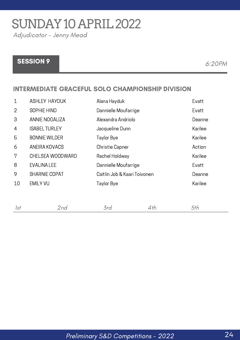## SUNDAY10APRIL2022

Adjudicator - Jenny Mead

### SESSION 9 8 6:20 PM

#### INTERMEDIATE GRACEFUL SOLO CHAMPIONSHIP DIVISION

| $\mathbf 1$    | <b>ASHLEY HAYDUK</b>  | Alana Hayduk                 | Evatt   |
|----------------|-----------------------|------------------------------|---------|
| $\overline{2}$ | SOPHIE HIND           | Dannielle Moufarrige         | Evatt   |
| 3              | <b>ANNIE NOGALIZA</b> | Alexandra Andriolo           | Deanne  |
| $\overline{4}$ | <b>ISABEL TURLEY</b>  | Jacqueline Dunn              | Karilee |
| 5              | <b>BONNIE WILDER</b>  | Taylor Bye                   | Karilee |
| 6              | ANEIRA KOVACS         | <b>Christie Capner</b>       | Action  |
| 7              | CHELSEA WOODWARD      | Rachel Holdway               | Karilee |
| 8              | <b>EVALINA LEE</b>    | Dannielle Moufarrige         | Evatt   |
| 9              | <b>SHARNIE COPAT</b>  | Caitlin Job & Kaari Toivonen | Deanne  |
| 10             | <b>EMILY VU</b>       | Taylor Bye                   | Karilee |
|                |                       |                              |         |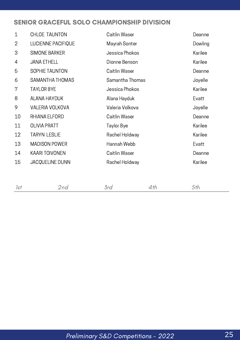#### SENIOR GRACEFUL SOLO CHAMPIONSHIP DIVISION

| $\mathbf{1}$   | <b>CHLOE TAUNTON</b>   | Caitlin Waser   | Deanne  |
|----------------|------------------------|-----------------|---------|
| $\overline{2}$ | LUCIENNE PACIFIQUE     | Mayrah Sonter   | Dowling |
| 3              | <b>SIMONE BARKER</b>   | Jessica Phokos  | Karilee |
| 4              | <b>JANA ETHELL</b>     | Dionne Benson   | Karilee |
| 5              | SOPHIE TAUNTON         | Caitlin Waser   | Deanne  |
| 6              | SAMANTHA THOMAS        | Samantha Thomas | Joyelle |
| 7              | <b>TAYLOR BYE</b>      | Jessica Phokos  | Karilee |
| 8              | <b>ALANA HAYDUK</b>    | Alana Hayduk    | Evatt   |
| 9              | <b>VALERIA VOLKOVA</b> | Valeria Volkova | Joyelle |
| 10             | RHIANA ELFORD          | Caitlin Waser   | Deanne  |
| 11             | <b>OLIVIA PRATT</b>    | Taylor Bye      | Karilee |
| 12             | <b>TARYN LESLIE</b>    | Rachel Holdway  | Karilee |
| 13             | <b>MADISON POWER</b>   | Hannah Webb     | Evatt   |
| 14             | <b>KAARI TOIVONEN</b>  | Caitlin Waser   | Deanne  |
| 15             | JACQUELINE DUNN        | Rachel Holdway  | Karilee |
|                |                        |                 |         |
|                |                        |                 |         |